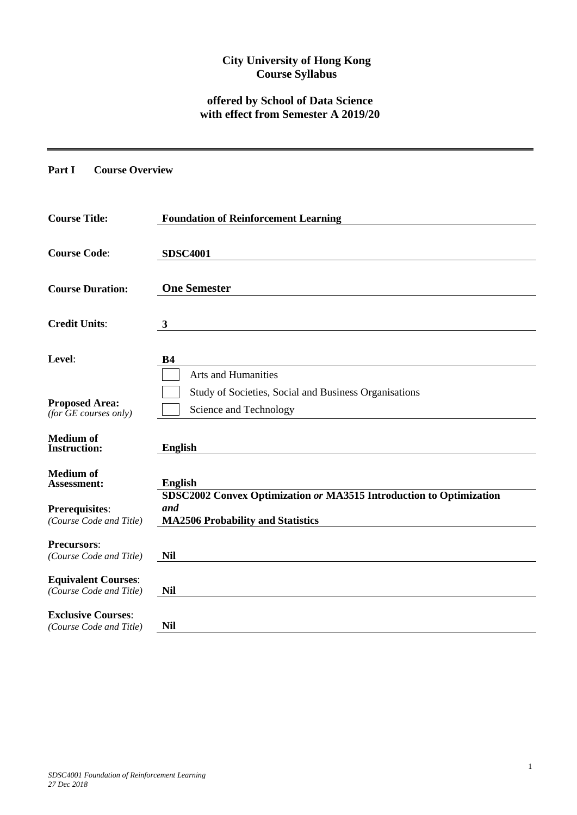# **City University of Hong Kong Course Syllabus**

# **offered by School of Data Science with effect from Semester A 2019/20**

**Part I Course Overview**

| <b>Course Title:</b>                                  | <b>Foundation of Reinforcement Learning</b>                                                                            |
|-------------------------------------------------------|------------------------------------------------------------------------------------------------------------------------|
| <b>Course Code:</b>                                   | <b>SDSC4001</b>                                                                                                        |
| <b>Course Duration:</b>                               | <b>One Semester</b>                                                                                                    |
| <b>Credit Units:</b>                                  | 3                                                                                                                      |
| Level:                                                | <b>B4</b><br><b>Arts and Humanities</b>                                                                                |
| <b>Proposed Area:</b><br>$(for$ $GE$ courses only)    | Study of Societies, Social and Business Organisations<br>Science and Technology                                        |
| <b>Medium</b> of<br><b>Instruction:</b>               | <b>English</b>                                                                                                         |
| <b>Medium</b> of<br>Assessment:                       | <b>English</b>                                                                                                         |
| <b>Prerequisites:</b><br>(Course Code and Title)      | SDSC2002 Convex Optimization or MA3515 Introduction to Optimization<br>and<br><b>MA2506 Probability and Statistics</b> |
| <b>Precursors:</b><br>(Course Code and Title)         | Nil                                                                                                                    |
| <b>Equivalent Courses:</b><br>(Course Code and Title) | <b>Nil</b>                                                                                                             |
| <b>Exclusive Courses:</b><br>(Course Code and Title)  | <b>Nil</b>                                                                                                             |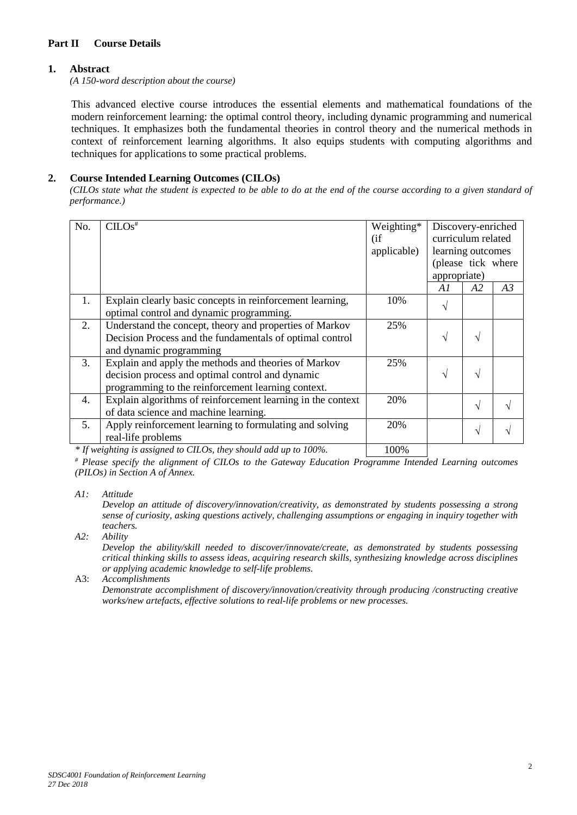## **Part II Course Details**

#### **1. Abstract**

*(A 150-word description about the course)*

This advanced elective course introduces the essential elements and mathematical foundations of the modern reinforcement learning: the optimal control theory, including dynamic programming and numerical techniques. It emphasizes both the fundamental theories in control theory and the numerical methods in context of reinforcement learning algorithms. It also equips students with computing algorithms and techniques for applications to some practical problems.

## **2. Course Intended Learning Outcomes (CILOs)**

*(CILOs state what the student is expected to be able to do at the end of the course according to a given standard of performance.)*

| Discovery-enriched<br>curriculum related<br>learning outcomes |                                                          |
|---------------------------------------------------------------|----------------------------------------------------------|
|                                                               |                                                          |
|                                                               |                                                          |
|                                                               |                                                          |
|                                                               |                                                          |
|                                                               |                                                          |
| A2                                                            | A3                                                       |
|                                                               |                                                          |
|                                                               |                                                          |
|                                                               |                                                          |
| V                                                             |                                                          |
|                                                               |                                                          |
|                                                               |                                                          |
| V                                                             |                                                          |
|                                                               |                                                          |
|                                                               |                                                          |
|                                                               |                                                          |
|                                                               |                                                          |
|                                                               |                                                          |
|                                                               | (please tick where<br>appropriate)<br>V<br>$\mathcal{N}$ |

*\* If weighting is assigned to CILOs, they should add up to 100%.* 100%

*# Please specify the alignment of CILOs to the Gateway Education Programme Intended Learning outcomes (PILOs) in Section A of Annex.* 

*A1: Attitude* 

*Develop an attitude of discovery/innovation/creativity, as demonstrated by students possessing a strong sense of curiosity, asking questions actively, challenging assumptions or engaging in inquiry together with teachers.*

*A2: Ability*

*Develop the ability/skill needed to discover/innovate/create, as demonstrated by students possessing critical thinking skills to assess ideas, acquiring research skills, synthesizing knowledge across disciplines or applying academic knowledge to self-life problems.*

#### A3: *Accomplishments*

*Demonstrate accomplishment of discovery/innovation/creativity through producing /constructing creative works/new artefacts, effective solutions to real-life problems or new processes.*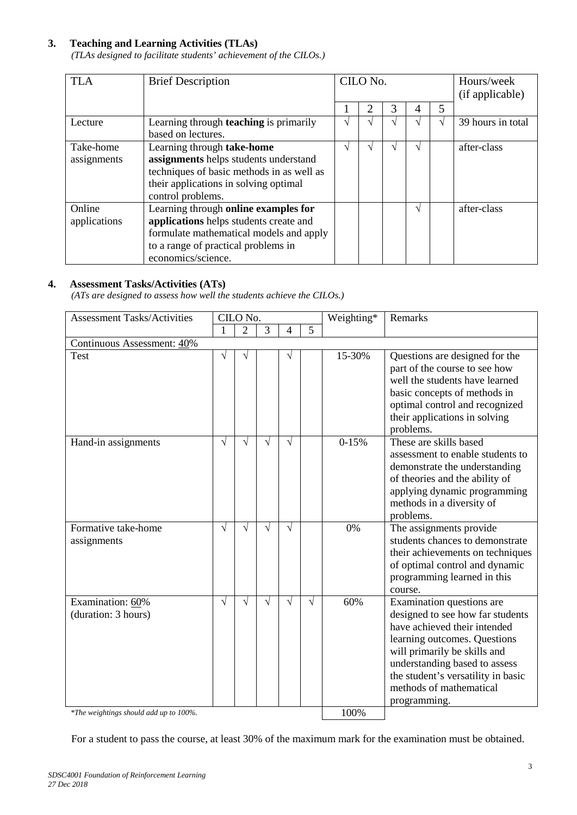## **3. Teaching and Learning Activities (TLAs)**

*(TLAs designed to facilitate students' achievement of the CILOs.)*

| <b>TLA</b>   | <b>Brief Description</b>                      | CILO No.      |                             |   |    | Hours/week<br>(if applicable) |                   |
|--------------|-----------------------------------------------|---------------|-----------------------------|---|----|-------------------------------|-------------------|
|              |                                               |               | $\mathcal{D}_{\mathcal{A}}$ | 3 | 4  | 5                             |                   |
| Lecture      | Learning through <b>teaching</b> is primarily | $\mathcal{N}$ |                             |   | اد |                               | 39 hours in total |
|              | based on lectures.                            |               |                             |   |    |                               |                   |
| Take-home    | Learning through take-home                    | $\mathcal{N}$ |                             |   | N  |                               | after-class       |
| assignments  | assignments helps students understand         |               |                             |   |    |                               |                   |
|              | techniques of basic methods in as well as     |               |                             |   |    |                               |                   |
|              | their applications in solving optimal         |               |                             |   |    |                               |                   |
|              | control problems.                             |               |                             |   |    |                               |                   |
| Online       | Learning through online examples for          |               |                             |   | N  |                               | after-class       |
| applications | applications helps students create and        |               |                             |   |    |                               |                   |
|              | formulate mathematical models and apply       |               |                             |   |    |                               |                   |
|              | to a range of practical problems in           |               |                             |   |    |                               |                   |
|              | economics/science.                            |               |                             |   |    |                               |                   |

## **4. Assessment Tasks/Activities (ATs)**

*(ATs are designed to assess how well the students achieve the CILOs.)*

| <b>Assessment Tasks/Activities</b>      | CILO No.  |                |           |            |                | Weighting* | Remarks                                                                                                                                                                                                                                                                         |
|-----------------------------------------|-----------|----------------|-----------|------------|----------------|------------|---------------------------------------------------------------------------------------------------------------------------------------------------------------------------------------------------------------------------------------------------------------------------------|
|                                         | 1         | $\overline{2}$ | 3         | 4          | $\overline{5}$ |            |                                                                                                                                                                                                                                                                                 |
| Continuous Assessment: 40%              |           |                |           |            |                |            |                                                                                                                                                                                                                                                                                 |
| <b>Test</b>                             | V         | V              |           | $\sqrt{}$  |                | 15-30%     | Questions are designed for the<br>part of the course to see how<br>well the students have learned<br>basic concepts of methods in<br>optimal control and recognized<br>their applications in solving<br>problems.                                                               |
| Hand-in assignments                     | $\sqrt{}$ | V              | V         | $\sqrt{ }$ |                | $0-15%$    | These are skills based<br>assessment to enable students to<br>demonstrate the understanding<br>of theories and the ability of<br>applying dynamic programming<br>methods in a diversity of<br>problems.                                                                         |
| Formative take-home<br>assignments      | $\sqrt{}$ | V              | $\sqrt{}$ | $\sqrt{ }$ |                | 0%         | The assignments provide<br>students chances to demonstrate<br>their achievements on techniques<br>of optimal control and dynamic<br>programming learned in this<br>course.                                                                                                      |
| Examination: 60%<br>(duration: 3 hours) | $\sqrt{}$ | $\sqrt{}$      | V         | $\sqrt{}$  | $\sqrt{}$      | 60%        | Examination questions are<br>designed to see how far students<br>have achieved their intended<br>learning outcomes. Questions<br>will primarily be skills and<br>understanding based to assess<br>the student's versatility in basic<br>methods of mathematical<br>programming. |
| *The weightings should add up to 100%.  |           |                |           |            |                | 100%       |                                                                                                                                                                                                                                                                                 |

For a student to pass the course, at least 30% of the maximum mark for the examination must be obtained.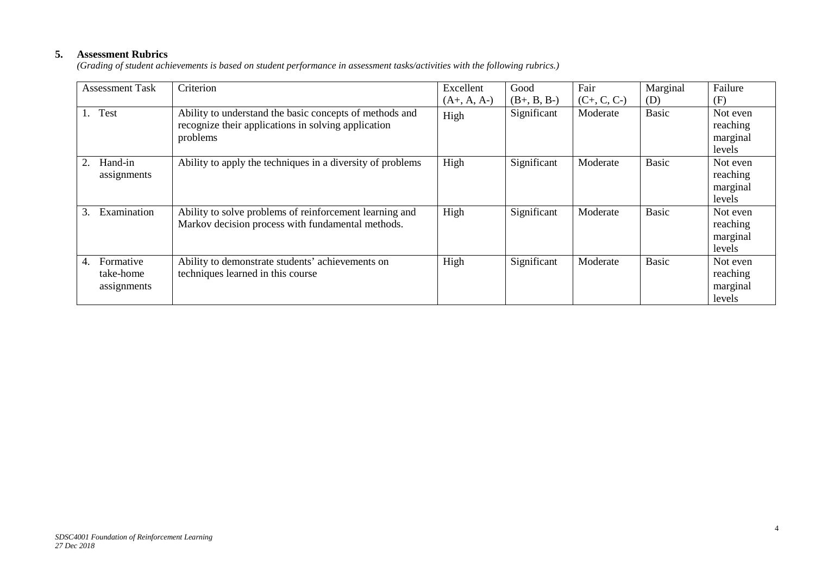# **5. Assessment Rubrics**

*(Grading of student achievements is based on student performance in assessment tasks/activities with the following rubrics.)*

| <b>Assessment Task</b>                      | Criterion                                                                                                                  | Excellent     | Good          | Fair          | Marginal     | Failure                                    |
|---------------------------------------------|----------------------------------------------------------------------------------------------------------------------------|---------------|---------------|---------------|--------------|--------------------------------------------|
|                                             |                                                                                                                            | $(A+, A, A-)$ | $(B+, B, B-)$ | $(C+, C, C-)$ | (D)          | (F)                                        |
| Test                                        | Ability to understand the basic concepts of methods and<br>recognize their applications in solving application<br>problems | High          | Significant   | Moderate      | <b>Basic</b> | Not even<br>reaching<br>marginal<br>levels |
| Hand-in<br>2.<br>assignments                | Ability to apply the techniques in a diversity of problems                                                                 | High          | Significant   | Moderate      | <b>Basic</b> | Not even<br>reaching<br>marginal<br>levels |
| Examination<br>3.                           | Ability to solve problems of reinforcement learning and<br>Markov decision process with fundamental methods.               | High          | Significant   | Moderate      | <b>Basic</b> | Not even<br>reaching<br>marginal<br>levels |
| Formative<br>4.<br>take-home<br>assignments | Ability to demonstrate students' achievements on<br>techniques learned in this course                                      | High          | Significant   | Moderate      | <b>Basic</b> | Not even<br>reaching<br>marginal<br>levels |